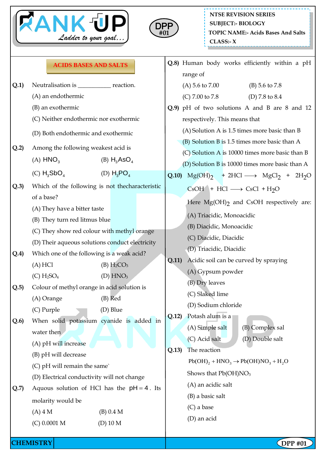



|      | <b>ACIDS BASES AND SALTS</b>                                                                                                                 |                                                 | Q.8) Human body works efficiently within a pH<br>range of                                          |
|------|----------------------------------------------------------------------------------------------------------------------------------------------|-------------------------------------------------|----------------------------------------------------------------------------------------------------|
| Q.1) | Neutralisation is _____________ reaction.                                                                                                    |                                                 | (A) 5.6 to 7.00<br>(B) $5.6$ to $7.8$                                                              |
|      | (A) an endothermic                                                                                                                           |                                                 | (C) $7.00 \text{ to } 7.8$<br>(D) 7.8 to 8.4                                                       |
|      | (B) an exothermic                                                                                                                            |                                                 | Q.9) pH of two solutions A and B are 8 and 12                                                      |
|      | (C) Neither endothermic nor exothermic                                                                                                       |                                                 | respectively. This means that                                                                      |
|      | (D) Both endothermic and exothermic                                                                                                          |                                                 | (A) Solution A is 1.5 times more basic than B                                                      |
| Q.2) | Among the following weakest acid is                                                                                                          |                                                 | $(B)$ Solution B is 1.5 times more basic than A<br>(C) Solution A is 10000 times more basic than B |
|      | (A) $HNO3$<br>(B) $H_3AsO_4$                                                                                                                 | (D) Solution B is 10000 times more basic than A |                                                                                                    |
|      | (D) $H_3PO_4$<br>(C) $H_3SbO_4$                                                                                                              | Q.10                                            | $Mg(OH)_2$ + 2HCl $\longrightarrow$ $MgCl_2$ + 2H <sub>2</sub> O                                   |
| Q.3) | Which of the following is not the characteristic                                                                                             |                                                 | $CSOH + HCl \longrightarrow CsCl + H2O$                                                            |
|      | of a base?                                                                                                                                   |                                                 | Here $Mg(OH)$ <sub>2</sub> and CsOH respectively are:                                              |
|      | (A) They have a bitter taste<br>(B) They turn red litmus blue                                                                                |                                                 | (A) Triacidic, Monoacidic                                                                          |
|      | (C) They show red colour with methyl orange<br>(D) Their aqueous solutions conduct electricity<br>Which one of the following is a weak acid? |                                                 | (B) Diacidic, Monoacidic                                                                           |
|      |                                                                                                                                              |                                                 | (C) Diacidic, Diacidic                                                                             |
|      |                                                                                                                                              |                                                 | (D) Triacidic, Diacidic                                                                            |
| Q.4) | (A) HCl<br>(B) H <sub>2</sub> CO <sub>3</sub>                                                                                                | Q.11)                                           | Acidic soil can be curved by spraying                                                              |
|      | (C) H <sub>2</sub> SO <sub>4</sub><br>$(D)$ HNO <sub>3</sub>                                                                                 |                                                 | (A) Gypsum powder                                                                                  |
| Q.5  | Colour of methyl orange in acid solution is                                                                                                  |                                                 | (B) Dry leaves                                                                                     |
|      | (A) Orange<br>$(B)$ Red                                                                                                                      |                                                 | (C) Slaked lime                                                                                    |
|      | (C) Purple<br>(D) Blue                                                                                                                       |                                                 | (D) Sodium chloride                                                                                |
| Q.6) | When solid potassium cyanide is added in                                                                                                     | Q.12)                                           | Potash alum is a                                                                                   |
|      | water then                                                                                                                                   |                                                 | (A) Simple salt<br>(B) Complex sal                                                                 |
|      | (A) pH will increase                                                                                                                         |                                                 | (D) Double salt<br>(C) Acid salt                                                                   |
|      | (B) pH will decrease                                                                                                                         | Q.13)                                           | The reaction                                                                                       |
|      | (C) pH will remain the same`                                                                                                                 |                                                 | $Pb(OH)_{2} + HNO_{3} \rightarrow Pb(OH)NO_{3} + H_{2}O$                                           |
|      | (D) Electrical conductivity will not change                                                                                                  |                                                 | Shows that Pb(OH)NO <sub>3</sub>                                                                   |
| Q.7) | Aquous solution of HCl has the $pH = 4$ . Its                                                                                                |                                                 | (A) an acidic salt                                                                                 |
|      | molarity would be                                                                                                                            |                                                 | (B) a basic salt                                                                                   |
|      | $(B)$ 0.4 M<br>$(A)$ 4 M                                                                                                                     |                                                 | $(C)$ a base                                                                                       |
|      | $(C)$ 0.0001 M<br>$(D)$ 10 M                                                                                                                 |                                                 | (D) an acid                                                                                        |
|      |                                                                                                                                              |                                                 |                                                                                                    |

**CHEMISTRY DPP** #01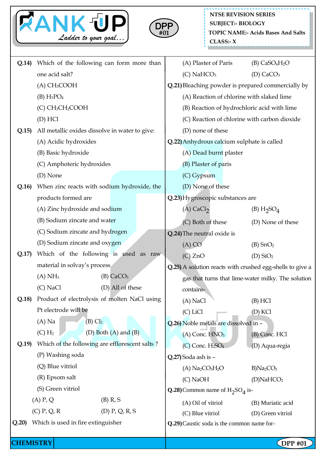



| Q.14) | Which of the following can form more than        |                                                    | (A) Plaster of Paris                                      | $(B)$ CaSO <sub>4</sub> H <sub>2</sub> O |  |  |
|-------|--------------------------------------------------|----------------------------------------------------|-----------------------------------------------------------|------------------------------------------|--|--|
|       | one acid salt?                                   |                                                    | $(C)$ NaHCO <sub>3</sub>                                  | (D) $CaCO3$                              |  |  |
|       | (A) CH <sub>3</sub> COOH                         |                                                    | Q.21) Bleaching powder is prepared commercially by        |                                          |  |  |
|       | $(B) H_3PO_4$                                    |                                                    | (A) Reaction of chlorine with slaked lime                 |                                          |  |  |
|       | (C) CH <sub>3</sub> CH <sub>2</sub> COOH         |                                                    | (B) Reaction of hydrochloric acid with lime               |                                          |  |  |
|       | $(D)$ HCl                                        | (C) Reaction of chlorine with carbon dioxide       |                                                           |                                          |  |  |
| Q.15  | All metallic oxides dissolve in water to give:   |                                                    | (D) none of these                                         |                                          |  |  |
|       | (A) Acidic hydroxides                            | Q.22) Anhydrous calcium sulphate is called         |                                                           |                                          |  |  |
|       | (B) Basic hydroxide                              |                                                    | (A) Dead burnt plaster                                    |                                          |  |  |
|       | (C) Amphoteric hydroxides                        |                                                    | (B) Plaster of paris                                      |                                          |  |  |
|       | (D) None                                         |                                                    | (C) Gypsum                                                |                                          |  |  |
| Q.16  | When zinc reacts with sodium hydroxide, the      |                                                    | (D) None of these                                         |                                          |  |  |
|       | products formed are                              |                                                    | Q.23) Hygroscopic substances are                          |                                          |  |  |
|       | (A) Zinc hydroxide and sodium                    |                                                    | $(A)$ CaCl <sub>2</sub>                                   | (B) H <sub>2</sub> SO <sub>4</sub>       |  |  |
|       | (B) Sodium zincate and water                     |                                                    | (C) Both of these                                         | (D) None of these                        |  |  |
|       | (C) Sodium zincate and hydrogen                  |                                                    | Q.24) The neutral oxide is                                |                                          |  |  |
|       | (D) Sodium zincate and oxygen                    |                                                    | $(A)$ CO                                                  | $(B)$ SnO <sub>2</sub>                   |  |  |
| Q.17  | Which of the following is used as raw            |                                                    | (C) ZnO                                                   | $(D)$ SiO <sub>2</sub>                   |  |  |
|       | material in solvay's process                     |                                                    | Q.25) A solution reacts with crushed egg-shells to give a |                                          |  |  |
|       | $(B)$ CaCO <sub>3</sub><br>$(A)$ NH <sub>3</sub> | gas that turns that lime-water milky. The solution |                                                           |                                          |  |  |
|       | $(C)$ NaCl<br>(D) All of these                   |                                                    | contains-                                                 |                                          |  |  |
| Q.18  | Product of electrolysis of molten NaCl using     |                                                    | (A) NaCl                                                  | $(B)$ HCl                                |  |  |
|       | Pt electrode will be                             |                                                    | (C) LiCl                                                  | (D) KCl                                  |  |  |
|       | $(A)$ Na<br>$(B)$ $Cl2$                          |                                                    | Q.26) Noble metals are dissolved in -                     |                                          |  |  |
|       | (D) Both $(A)$ and $(B)$<br>$(C)$ $H_2$          |                                                    | $(A)$ Conc. $HNO3$                                        | (B) Conc. HCl                            |  |  |
| Q.19  | Which of the following are efflorescent salts?   |                                                    | $(C)$ Conc. $H_2SO_4$                                     | (D) Aqua-regia                           |  |  |
|       | (P) Washing soda                                 | Q.27) Soda ash is -                                |                                                           |                                          |  |  |
|       | (Q) Blue vitriol                                 |                                                    | $(A) Na2CO3H2O$                                           | B)Na <sub>2</sub> CO <sub>3</sub>        |  |  |
|       | (R) Epsom salt                                   |                                                    | $(C)$ NaOH                                                | $(D)$ NaHCO <sub>2</sub>                 |  |  |
|       | (S) Green vitriol                                |                                                    | Q.28) Common name of $H_2SO_4$ is-                        |                                          |  |  |
|       | $(B)$ R, S<br>$(A)$ P, Q                         |                                                    | (A) Oil of vitriol                                        | (B) Muriatic acid                        |  |  |
|       | $(C)$ P, Q, R<br>$(D)$ P, Q, R, S                |                                                    | (C) Blue vitriol                                          | (D) Green vitriol                        |  |  |
| Q.20) | Which is used in fire extinguisher               |                                                    | Q.29) Caustic soda is the common name for-                |                                          |  |  |
|       | <b>CHEMISTRY</b>                                 |                                                    |                                                           |                                          |  |  |
|       |                                                  |                                                    |                                                           | $\left[$ DPP #01                         |  |  |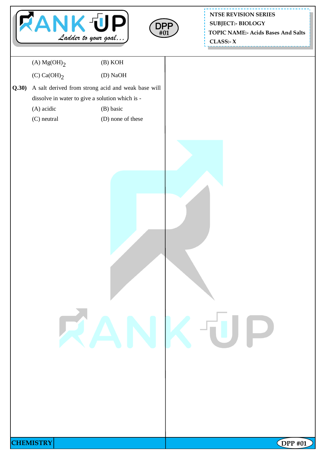



**NTSE REVISION SERIES TOPIC NAME:- Acids Bases And Salts CLASS:- X SUBJECT:- BIOLOGY**